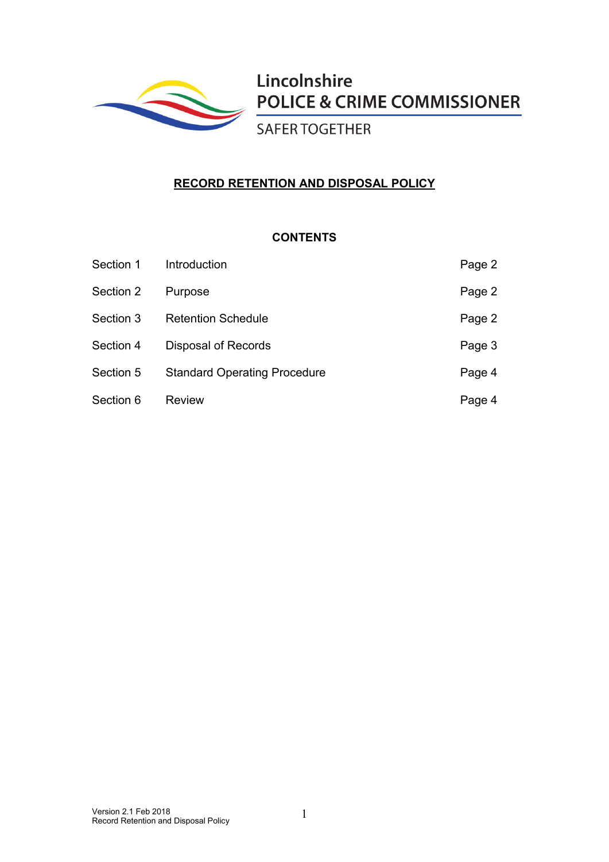

Lincolnshire **POLICE & CRIME COMMISSIONER** 

**SAFER TOGETHER** 

# **RECORD RETENTION AND DISPOSAL POLICY**

## **CONTENTS**

| Section 1 | Introduction                        | Page 2 |
|-----------|-------------------------------------|--------|
| Section 2 | Purpose                             | Page 2 |
| Section 3 | <b>Retention Schedule</b>           | Page 2 |
| Section 4 | Disposal of Records                 | Page 3 |
| Section 5 | <b>Standard Operating Procedure</b> | Page 4 |
| Section 6 | <b>Review</b>                       | Page 4 |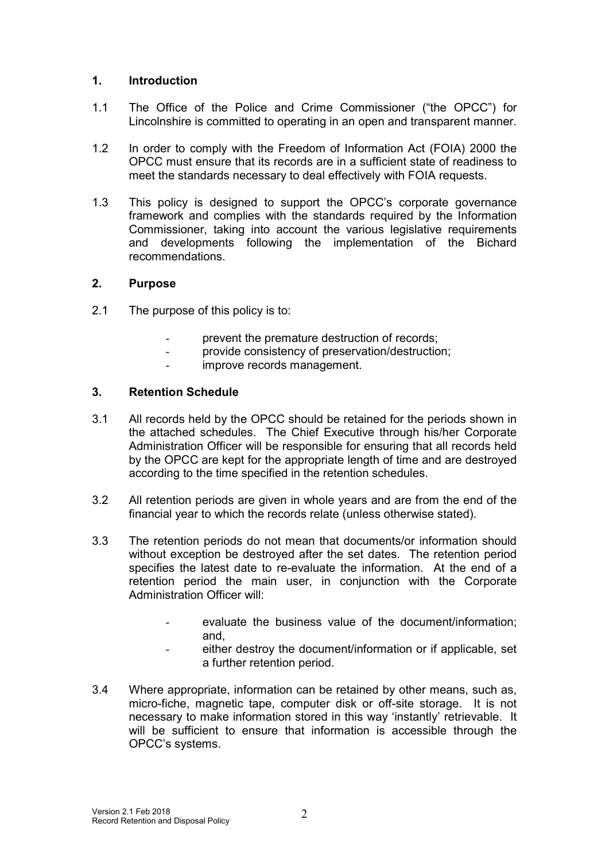### **1. Introduction**

- 1.1 The Office of the Police and Crime Commissioner ("the OPCC") for Lincolnshire is committed to operating in an open and transparent manner.
- 1.2 In order to comply with the Freedom of Information Act (FOIA) 2000 the OPCC must ensure that its records are in a sufficient state of readiness to meet the standards necessary to deal effectively with FOIA requests.
- 1.3 This policy is designed to support the OPCC's corporate governance framework and complies with the standards required by the Information Commissioner, taking into account the various legislative requirements and developments following the implementation of the Bichard recommendations.

#### **2. Purpose**

- 2.1 The purpose of this policy is to:
	- prevent the premature destruction of records:
	- provide consistency of preservation/destruction;
	- improve records management.

#### **3. Retention Schedule**

- 3.1 All records held by the OPCC should be retained for the periods shown in the attached schedules. The Chief Executive through his/her Corporate Administration Officer will be responsible for ensuring that all records held by the OPCC are kept for the appropriate length of time and are destroyed according to the time specified in the retention schedules.
- 3.2 All retention periods are given in whole years and are from the end of the financial year to which the records relate (unless otherwise stated).
- 3.3 The retention periods do not mean that documents/or information should without exception be destroyed after the set dates. The retention period specifies the latest date to re-evaluate the information. At the end of a retention period the main user, in conjunction with the Corporate Administration Officer will:
	- evaluate the business value of the document/information; and,
	- either destroy the document/information or if applicable, set a further retention period.
- 3.4 Where appropriate, information can be retained by other means, such as, micro-fiche, magnetic tape, computer disk or off-site storage. It is not necessary to make information stored in this way 'instantly' retrievable. It will be sufficient to ensure that information is accessible through the OPCC's systems.